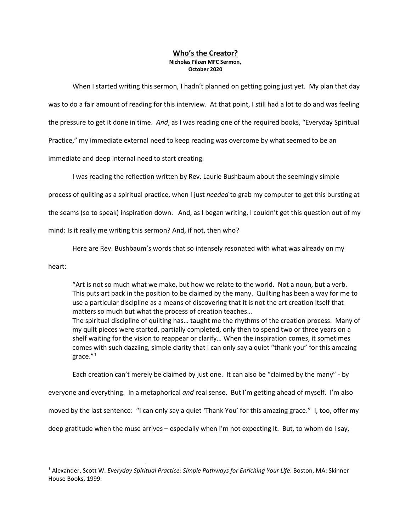## **Who's the Creator? Nicholas Filzen MFC Sermon, October 2020**

When I started writing this sermon, I hadn't planned on getting going just yet. My plan that day was to do a fair amount of reading for this interview. At that point, I still had a lot to do and was feeling the pressure to get it done in time. *And*, as I was reading one of the required books, "Everyday Spiritual Practice," my immediate external need to keep reading was overcome by what seemed to be an immediate and deep internal need to start creating.

I was reading the reflection written by Rev. Laurie Bushbaum about the seemingly simple

process of quilting as a spiritual practice, when I just *needed* to grab my computer to get this bursting at

the seams (so to speak) inspiration down. And, as I began writing, I couldn't get this question out of my

mind: Is it really me writing this sermon? And, if not, then who?

Here are Rev. Bushbaum's words that so intensely resonated with what was already on my

heart:

"Art is not so much what we make, but how we relate to the world. Not a noun, but a verb. This puts art back in the position to be claimed by the many. Quilting has been a way for me to use a particular discipline as a means of discovering that it is not the art creation itself that matters so much but what the process of creation teaches… The spiritual discipline of quilting has… taught me the rhythms of the creation process. Many of my quilt pieces were started, partially completed, only then to spend two or three years on a shelf waiting for the vision to reappear or clarify… When the inspiration comes, it sometimes comes with such dazzling, simple clarity that I can only say a quiet "thank you" for this amazing grace."[1](#page-0-0)

Each creation can't merely be claimed by just one. It can also be "claimed by the many" - by

everyone and everything. In a metaphorical *and* real sense. But I'm getting ahead of myself. I'm also

moved by the last sentence: "I can only say a quiet 'Thank You' for this amazing grace." I, too, offer my

deep gratitude when the muse arrives – especially when I'm not expecting it. But, to whom do I say,

<span id="page-0-0"></span><sup>1</sup> Alexander, Scott W. *Everyday Spiritual Practice: Simple Pathways for Enriching Your Life*. Boston, MA: Skinner House Books, 1999.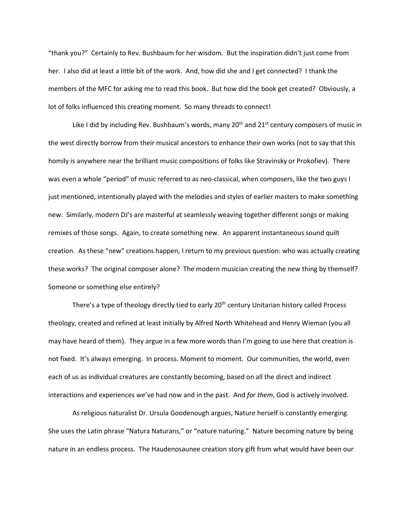"thank you?" Certainly to Rev. Bushbaum for her wisdom. But the inspiration didn't just come from her. I also did at least a little bit of the work. And, how did she and I get connected? I thank the members of the MFC for asking me to read this book. But how did the book get created? Obviously, a lot of folks influenced this creating moment. So many threads to connect!

Like I did by including Rev. Bushbaum's words, many  $20<sup>th</sup>$  and  $21<sup>st</sup>$  century composers of music in the west directly borrow from their musical ancestors to enhance their own works (not to say that this homily is anywhere near the brilliant music compositions of folks like Stravinsky or Prokofiev). There was even a whole "period" of music referred to as neo-classical, when composers, like the two guys I just mentioned, intentionally played with the melodies and styles of earlier masters to make something new. Similarly, modern DJ's are masterful at seamlessly weaving together different songs or making remixes of those songs. Again, to create something new. An apparent instantaneous sound quilt creation. As these "new" creations happen, I return to my previous question: who was actually creating these works? The original composer alone? The modern musician creating the new thing by themself? Someone or something else entirely?

There's a type of theology directly tied to early 20<sup>th</sup> century Unitarian history called Process theology, created and refined at least initially by Alfred North Whitehead and Henry Wieman (you all may have heard of them). They argue in a few more words than I'm going to use here that creation is not fixed. It's always emerging. In process. Moment to moment. Our communities, the world, even each of us as individual creatures are constantly becoming, based on all the direct and indirect interactions and experiences we've had now and in the past. And *for them*, God is actively involved.

As religious naturalist Dr. Ursula Goodenough argues, Nature herself is constantly emerging. She uses the Latin phrase "Natura Naturans," or "nature naturing." Nature becoming nature by being nature in an endless process. The Haudenosaunee creation story gift from what would have been our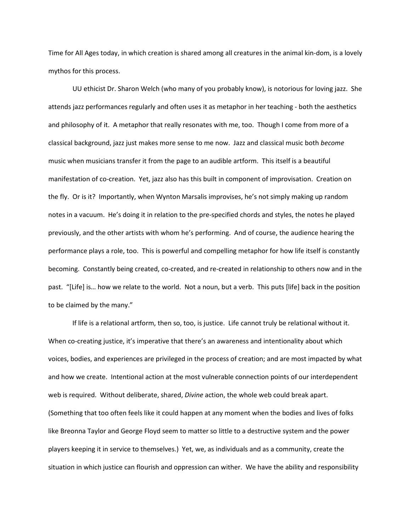Time for All Ages today, in which creation is shared among all creatures in the animal kin-dom, is a lovely mythos for this process.

UU ethicist Dr. Sharon Welch (who many of you probably know), is notorious for loving jazz. She attends jazz performances regularly and often uses it as metaphor in her teaching - both the aesthetics and philosophy of it. A metaphor that really resonates with me, too. Though I come from more of a classical background, jazz just makes more sense to me now. Jazz and classical music both *become* music when musicians transfer it from the page to an audible artform. This itself is a beautiful manifestation of co-creation. Yet, jazz also has this built in component of improvisation. Creation on the fly. Or is it? Importantly, when Wynton Marsalis improvises, he's not simply making up random notes in a vacuum. He's doing it in relation to the pre-specified chords and styles, the notes he played previously, and the other artists with whom he's performing. And of course, the audience hearing the performance plays a role, too. This is powerful and compelling metaphor for how life itself is constantly becoming. Constantly being created, co-created, and re-created in relationship to others now and in the past. "[Life] is… how we relate to the world. Not a noun, but a verb. This puts [life] back in the position to be claimed by the many."

If life is a relational artform, then so, too, is justice. Life cannot truly be relational without it. When co-creating justice, it's imperative that there's an awareness and intentionality about which voices, bodies, and experiences are privileged in the process of creation; and are most impacted by what and how we create. Intentional action at the most vulnerable connection points of our interdependent web is required. Without deliberate, shared, *Divine* action, the whole web could break apart. (Something that too often feels like it could happen at any moment when the bodies and lives of folks like Breonna Taylor and George Floyd seem to matter so little to a destructive system and the power players keeping it in service to themselves.) Yet, we, as individuals and as a community, create the situation in which justice can flourish and oppression can wither. We have the ability and responsibility